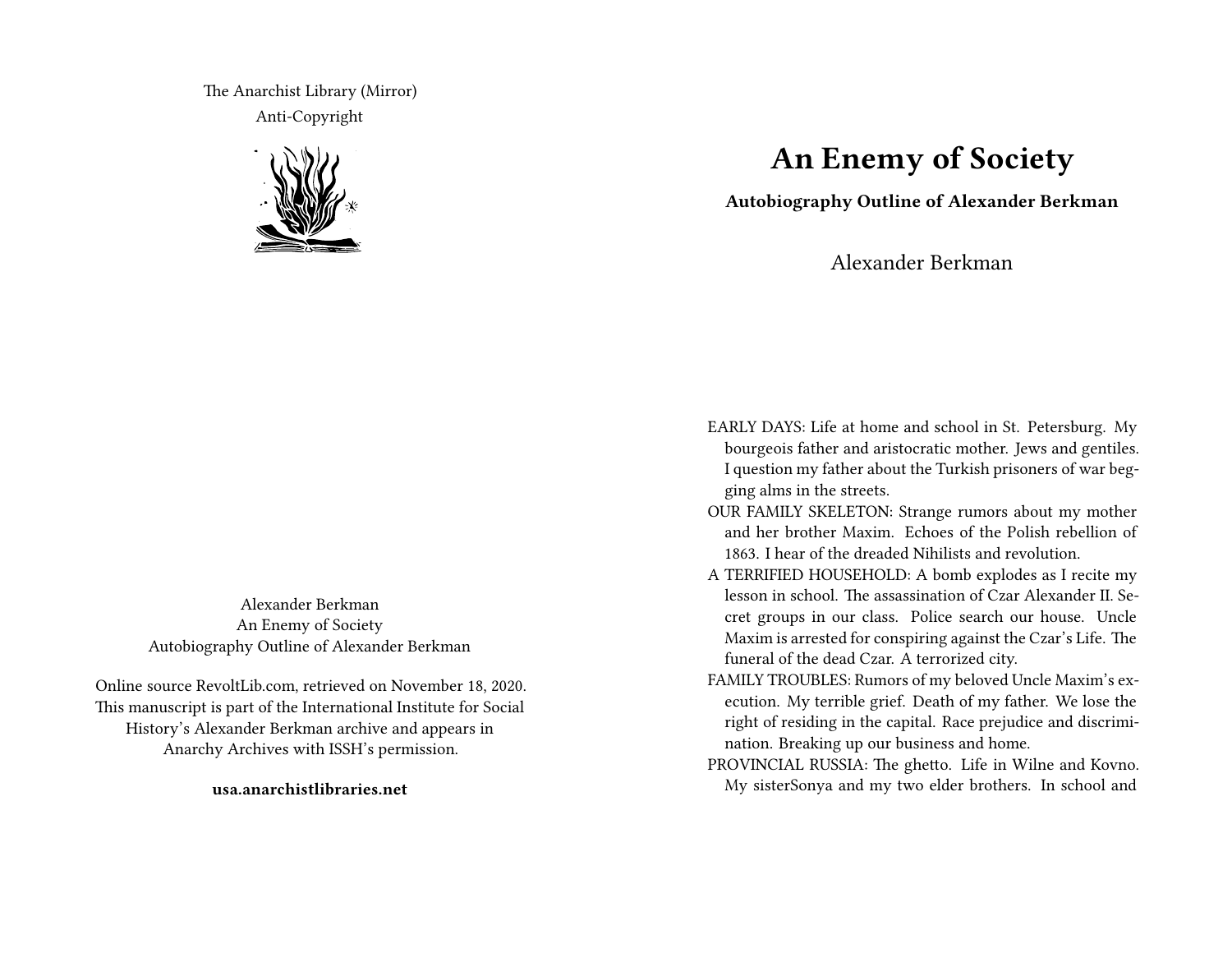The Anarchist Library (Mirror) Anti-Copyright



Alexander Berkman An Enemy of Society Autobiography Outline of Alexander Berkman

Online source RevoltLib.com, retrieved on November 18, 2020. This manuscript is part of the International Institute for Social History's Alexander Berkman archive and appears in Anarchy Archives with ISSH's permission.

**usa.anarchistlibraries.net**

## **An Enemy of Society**

**Autobiography Outline of Alexander Berkman**

Alexander Berkman

- EARLY DAYS: Life at home and school in St. Petersburg. My bourgeois father and aristocratic mother. Jews and gentiles. I question my father about the Turkish prisoners of war begging alms in the streets.
- OUR FAMILY SKELETON: Strange rumors about my mother and her brother Maxim. Echoes of the Polish rebellion of 1863. I hear of the dreaded Nihilists and revolution.
- A TERRIFIED HOUSEHOLD: A bomb explodes as I recite my lesson in school. The assassination of Czar Alexander II. Secret groups in our class. Police search our house. Uncle Maxim is arrested for conspiring against the Czar's Life. The funeral of the dead Czar. A terrorized city.
- FAMILY TROUBLES: Rumors of my beloved Uncle Maxim's execution. My terrible grief. Death of my father. We lose the right of residing in the capital. Race prejudice and discrimination. Breaking up our business and home.
- PROVINCIAL RUSSIA: The ghetto. Life in Wilne and Kovno. My sisterSonya and my two elder brothers. In school and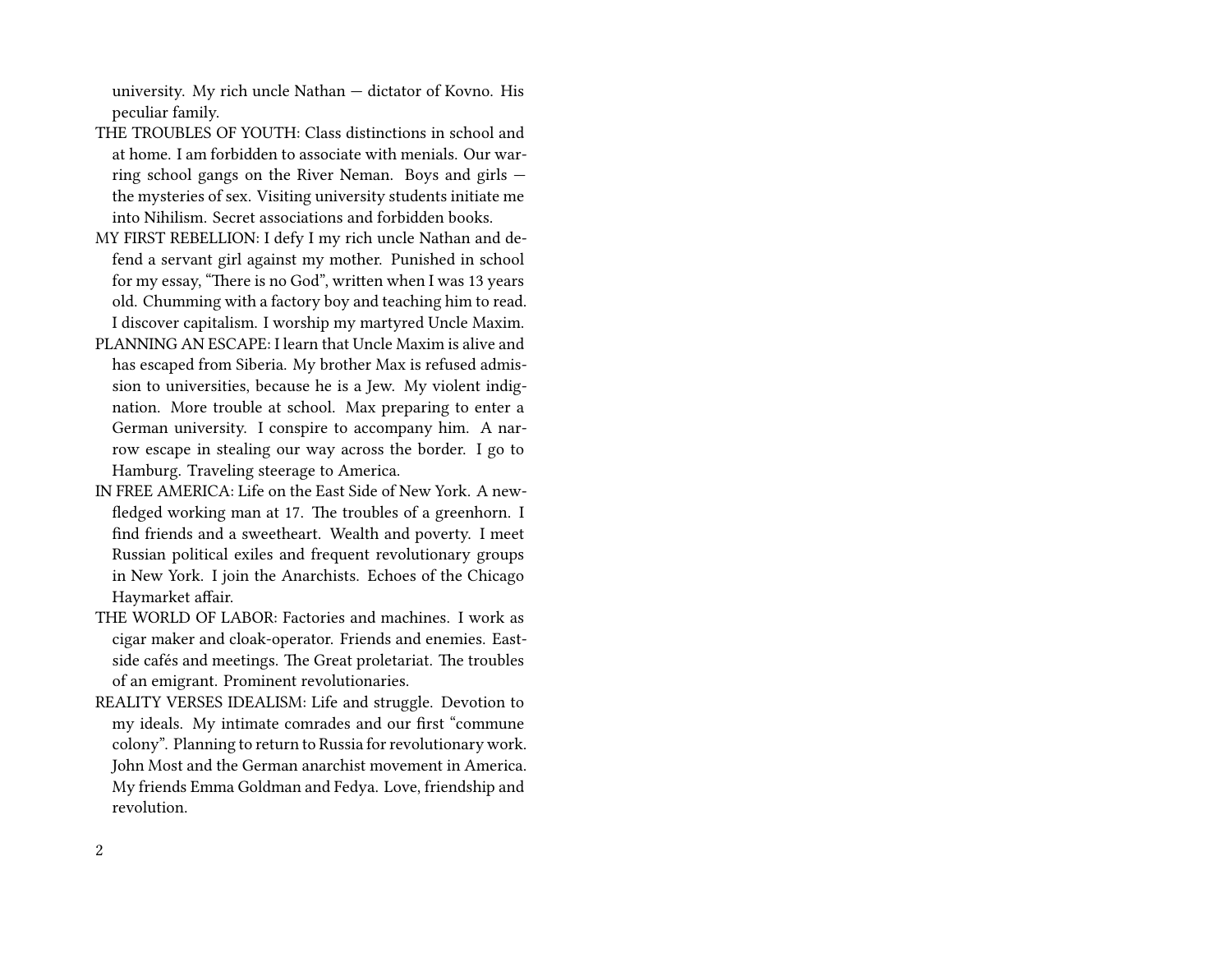university. My rich uncle Nathan — dictator of Kovno. His peculiar family.

- THE TROUBLES OF YOUTH: Class distinctions in school and at home. I am forbidden to associate with menials. Our warring school gangs on the River Neman. Boys and girls the mysteries of sex. Visiting university students initiate me into Nihilism. Secret associations and forbidden books.
- MY FIRST REBELLION: I defy I my rich uncle Nathan and defend a servant girl against my mother. Punished in school for my essay, "There is no God", written when I was 13 years old. Chumming with a factory boy and teaching him to read. I discover capitalism. I worship my martyred Uncle Maxim.
- PLANNING AN ESCAPE: I learn that Uncle Maxim is alive and has escaped from Siberia. My brother Max is refused admission to universities, because he is a Jew. My violent indignation. More trouble at school. Max preparing to enter a German university. I conspire to accompany him. A narrow escape in stealing our way across the border. I go to Hamburg. Traveling steerage to America.
- IN FREE AMERICA: Life on the East Side of New York. A newfledged working man at 17. The troubles of a greenhorn. I find friends and a sweetheart. Wealth and poverty. I meet Russian political exiles and frequent revolutionary groups in New York. I join the Anarchists. Echoes of the Chicago Haymarket affair.
- THE WORLD OF LABOR: Factories and machines. I work as cigar maker and cloak-operator. Friends and enemies. Eastside cafés and meetings. The Great proletariat. The troubles of an emigrant. Prominent revolutionaries.
- REALITY VERSES IDEALISM: Life and struggle. Devotion to my ideals. My intimate comrades and our first "commune colony". Planning to return to Russia for revolutionary work. John Most and the German anarchist movement in America. My friends Emma Goldman and Fedya. Love, friendship and revolution.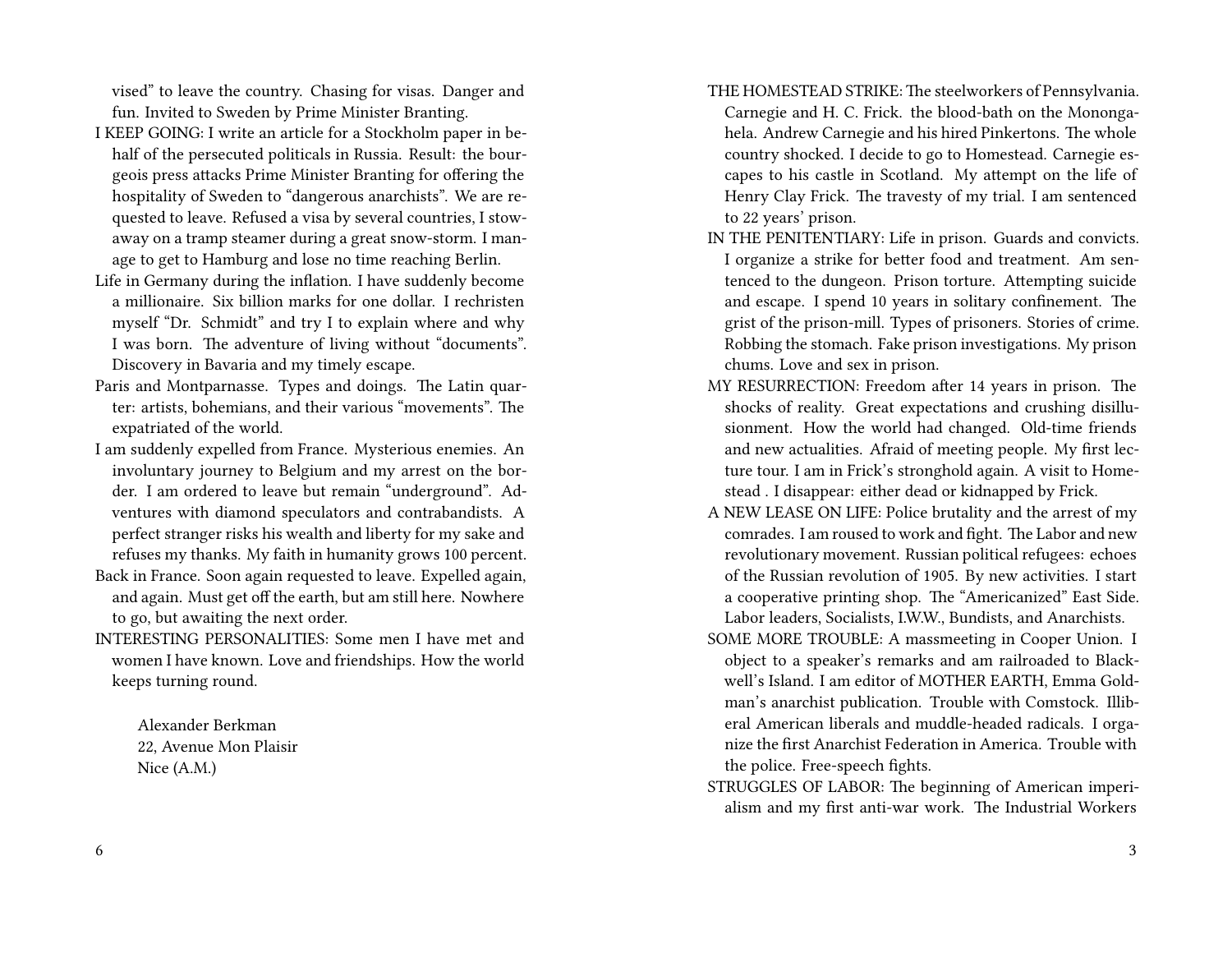vised" to leave the country. Chasing for visas. Danger and fun. Invited to Sweden by Prime Minister Branting.

- I KEEP GOING: I write an article for a Stockholm paper in behalf of the persecuted politicals in Russia. Result: the bourgeois press attacks Prime Minister Branting for offering the hospitality of Sweden to "dangerous anarchists". We are requested to leave. Refused a visa by several countries, I stowaway on a tramp steamer during a great snow-storm. I manage to get to Hamburg and lose no time reaching Berlin.
- Life in Germany during the inflation. I have suddenly become a millionaire. Six billion marks for one dollar. I rechristen myself "Dr. Schmidt" and try I to explain where and why I was born. The adventure of living without "documents". Discovery in Bavaria and my timely escape.
- Paris and Montparnasse. Types and doings. The Latin quarter: artists, bohemians, and their various "movements". The expatriated of the world.
- I am suddenly expelled from France. Mysterious enemies. An involuntary journey to Belgium and my arrest on the border. I am ordered to leave but remain "underground". Adventures with diamond speculators and contrabandists. A perfect stranger risks his wealth and liberty for my sake and refuses my thanks. My faith in humanity grows 100 percent.
- Back in France. Soon again requested to leave. Expelled again, and again. Must get off the earth, but am still here. Nowhere to go, but awaiting the next order.
- INTERESTING PERSONALITIES: Some men I have met and women I have known. Love and friendships. How the world keeps turning round.

Alexander Berkman 22, Avenue Mon Plaisir Nice (A.M.)

- THE HOMESTEAD STRIKE: The steelworkers of Pennsylvania. Carnegie and H. C. Frick. the blood-bath on the Monongahela. Andrew Carnegie and his hired Pinkertons. The whole country shocked. I decide to go to Homestead. Carnegie escapes to his castle in Scotland. My attempt on the life of Henry Clay Frick. The travesty of my trial. I am sentenced to 22 years' prison.
- IN THE PENITENTIARY: Life in prison. Guards and convicts. I organize a strike for better food and treatment. Am sentenced to the dungeon. Prison torture. Attempting suicide and escape. I spend 10 years in solitary confinement. The grist of the prison-mill. Types of prisoners. Stories of crime. Robbing the stomach. Fake prison investigations. My prison chums. Love and sex in prison.
- MY RESURRECTION: Freedom after 14 years in prison. The shocks of reality. Great expectations and crushing disillusionment. How the world had changed. Old-time friends and new actualities. Afraid of meeting people. My first lecture tour. I am in Frick's stronghold again. A visit to Homestead . I disappear: either dead or kidnapped by Frick.
- A NEW LEASE ON LIFE: Police brutality and the arrest of my comrades. I am roused to work and fight. The Labor and new revolutionary movement. Russian political refugees: echoes of the Russian revolution of 1905. By new activities. I start a cooperative printing shop. The "Americanized" East Side. Labor leaders, Socialists, I.W.W., Bundists, and Anarchists.
- SOME MORE TROUBLE: A massmeeting in Cooper Union. I object to a speaker's remarks and am railroaded to Blackwell's Island. I am editor of MOTHER EARTH, Emma Goldman's anarchist publication. Trouble with Comstock. Illiberal American liberals and muddle-headed radicals. I organize the first Anarchist Federation in America. Trouble with the police. Free-speech fights.
- STRUGGLES OF LABOR: The beginning of American imperialism and my first anti-war work. The Industrial Workers